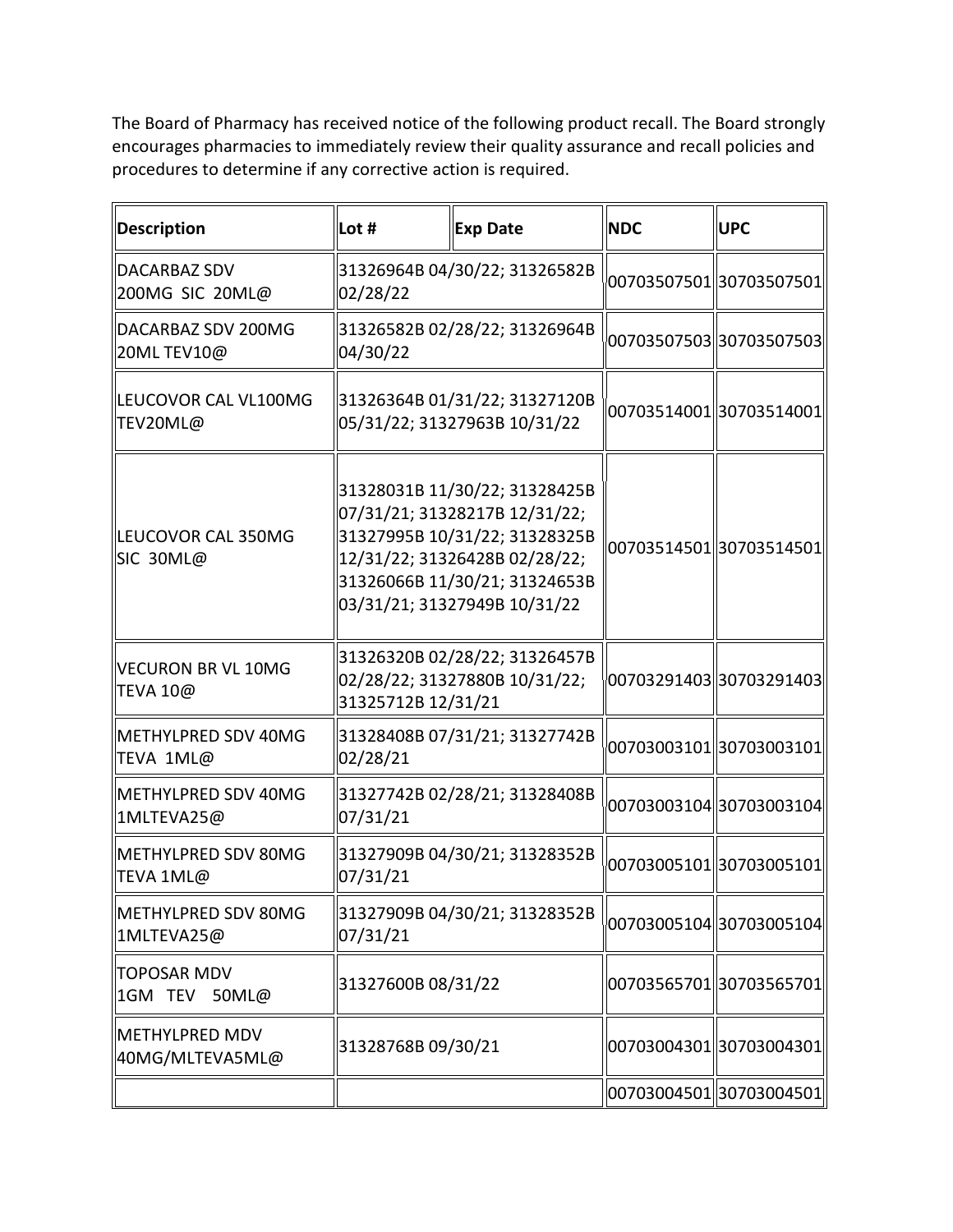The Board of Pharmacy has received notice of the following product recall. The Board strongly encourages pharmacies to immediately review their quality assurance and recall policies and procedures to determine if any corrective action is required.

| <b>Description</b>                       | Lot #                                                         | <b>Exp Date</b>                                                                                                                                                                                   | <b>NDC</b>               | <b>UPC</b>               |
|------------------------------------------|---------------------------------------------------------------|---------------------------------------------------------------------------------------------------------------------------------------------------------------------------------------------------|--------------------------|--------------------------|
| DACARBAZ SDV<br>200MG SIC 20ML@          | 02/28/22                                                      | 31326964B 04/30/22; 31326582B                                                                                                                                                                     |                          | 00703507501  30703507501 |
| DACARBAZ SDV 200MG<br>20ML TEV10@        | 31326582B 02/28/22; 31326964B<br>04/30/22                     |                                                                                                                                                                                                   |                          | 00703507503330703507503  |
| lLEUCOVOR CAL VL100MG<br>TEV20ML@        | 31326364B 01/31/22; 31327120B<br>05/31/22; 31327963B 10/31/22 |                                                                                                                                                                                                   | 00703514001  30703514001 |                          |
| lLEUCOVOR CAL 350MG<br>SIC 30ML@         |                                                               | 31328031B 11/30/22; 31328425B<br>07/31/21; 31328217B 12/31/22;<br>31327995B 10/31/22; 31328325B<br>12/31/22; 31326428B 02/28/22;<br>31326066B 11/30/21; 31324653B<br>03/31/21; 31327949B 10/31/22 | 0070351450130703514501   |                          |
| VECURON BR VL 10MG<br>TEVA 10@           | 31325712B 12/31/21                                            | 31326320B 02/28/22; 31326457B<br>02/28/22; 31327880B 10/31/22;                                                                                                                                    |                          | 00703291403 30703291403  |
| METHYLPRED SDV 40MG<br>TEVA 1ML@         | 02/28/21                                                      | 31328408B 07/31/21; 31327742B                                                                                                                                                                     |                          | 00703003101  30703003101 |
| METHYLPRED SDV 40MG<br>1MLTEVA25@        | 07/31/21                                                      | 31327742B 02/28/21; 31328408B                                                                                                                                                                     |                          | 00703003104 30703003104  |
| <b>IMETHYLPRED SDV 80MG</b><br>TEVA 1ML@ | 07/31/21                                                      | 31327909B 04/30/21; 31328352B                                                                                                                                                                     |                          | 00703005101  30703005101 |
| METHYLPRED SDV 80MG<br>1MLTEVA25@        | 07/31/21                                                      | 31327909B 04/30/21; 31328352B                                                                                                                                                                     |                          | 00703005104 30703005104  |
| <b>TOPOSAR MDV</b><br>1GM TEV 50ML@      | 31327600B 08/31/22                                            |                                                                                                                                                                                                   |                          | 00703565701 30703565701  |
| METHYLPRED MDV<br>40MG/MLTEVA5ML@        | 31328768B 09/30/21                                            |                                                                                                                                                                                                   |                          | 00703004301  30703004301 |
|                                          |                                                               |                                                                                                                                                                                                   |                          | 00703004501 30703004501  |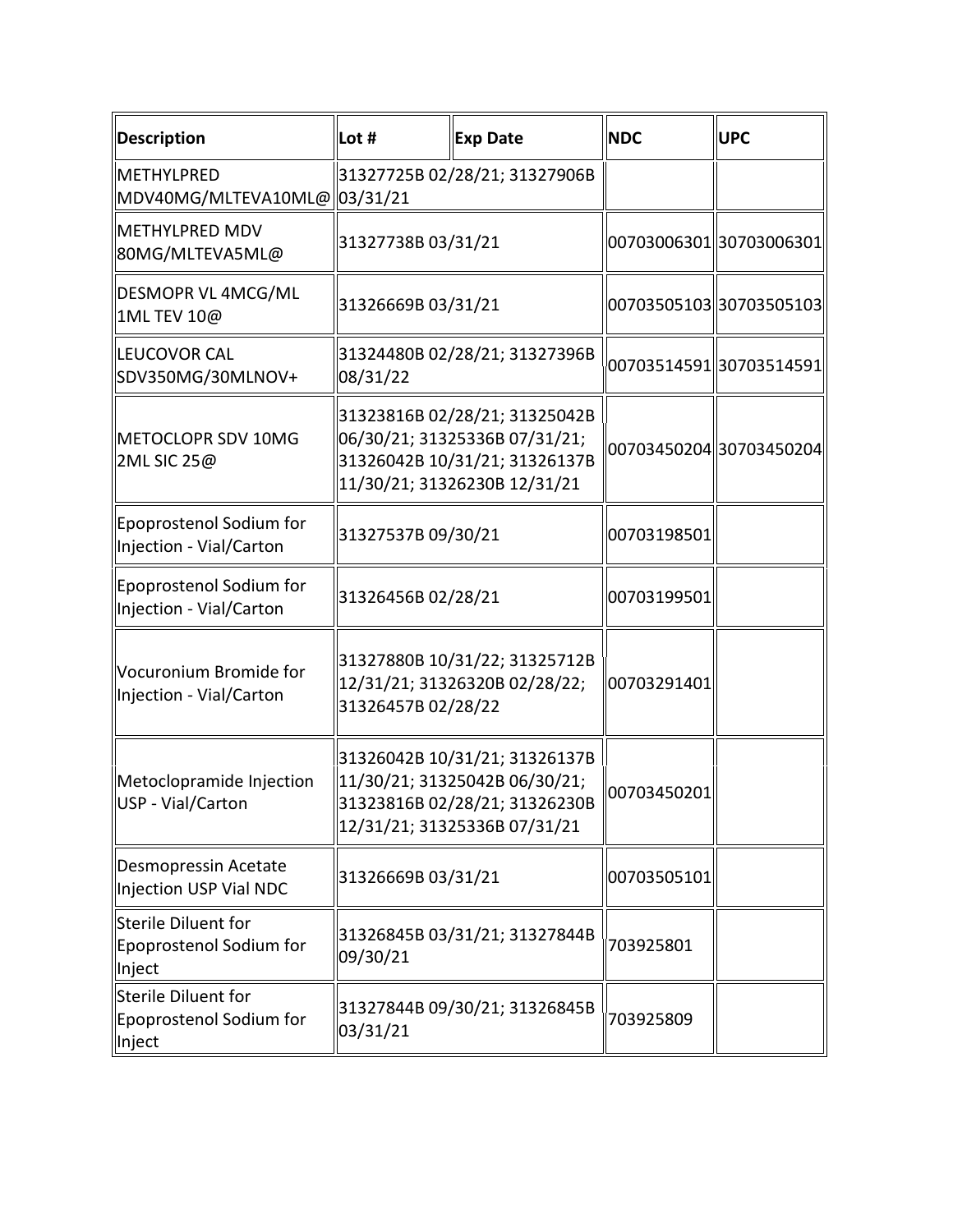| <b>Description</b>                                       | Lot #                                                                                                                           | <b>Exp Date</b>                                                                                                                 | <b>NDC</b>              | <b>UPC</b>               |
|----------------------------------------------------------|---------------------------------------------------------------------------------------------------------------------------------|---------------------------------------------------------------------------------------------------------------------------------|-------------------------|--------------------------|
| METHYLPRED<br>MDV40MG/MLTEVA10ML@ 03/31/21               |                                                                                                                                 | 31327725B 02/28/21; 31327906B                                                                                                   |                         |                          |
| METHYLPRED MDV<br>80MG/MLTEVA5ML@                        | 31327738B 03/31/21                                                                                                              |                                                                                                                                 |                         | 00703006301  30703006301 |
| DESMOPR VL 4MCG/ML<br>1ML TEV 10@                        | 31326669B 03/31/21                                                                                                              |                                                                                                                                 | 00703505103330703505103 |                          |
| LEUCOVOR CAL<br>SDV350MG/30MLNOV+                        | 31324480B 02/28/21; 31327396B<br>08/31/22                                                                                       |                                                                                                                                 |                         | 00703514591  30703514591 |
| METOCLOPR SDV 10MG<br>2ML SIC 25@                        | 31323816B 02/28/21; 31325042B<br>06/30/21; 31325336B 07/31/21;<br>31326042B 10/31/21; 31326137B<br>11/30/21; 31326230B 12/31/21 |                                                                                                                                 |                         | 00703450204 30703450204  |
| Epoprostenol Sodium for<br>Injection - Vial/Carton       | 31327537B 09/30/21                                                                                                              |                                                                                                                                 | 00703198501             |                          |
| Epoprostenol Sodium for<br>Injection - Vial/Carton       | 31326456B 02/28/21                                                                                                              |                                                                                                                                 | 00703199501             |                          |
| Vocuronium Bromide for<br>Injection - Vial/Carton        | 31326457B 02/28/22                                                                                                              | 31327880B 10/31/22; 31325712B<br>12/31/21; 31326320B 02/28/22;                                                                  | 00703291401             |                          |
| Metoclopramide Injection<br>USP - Vial/Carton            |                                                                                                                                 | 31326042B 10/31/21; 31326137B<br>11/30/21; 31325042B 06/30/21;<br>31323816B 02/28/21; 31326230B<br>12/31/21; 31325336B 07/31/21 | 00703450201             |                          |
| Desmopressin Acetate<br><b>Injection USP Vial NDC</b>    | 31326669B 03/31/21                                                                                                              |                                                                                                                                 | 00703505101             |                          |
| Sterile Diluent for<br>Epoprostenol Sodium for<br>Inject | 31326845B 03/31/21; 31327844B<br>09/30/21                                                                                       |                                                                                                                                 | 703925801               |                          |
| Sterile Diluent for<br>Epoprostenol Sodium for<br>Inject | 03/31/21                                                                                                                        | 31327844B 09/30/21; 31326845B                                                                                                   | 703925809               |                          |